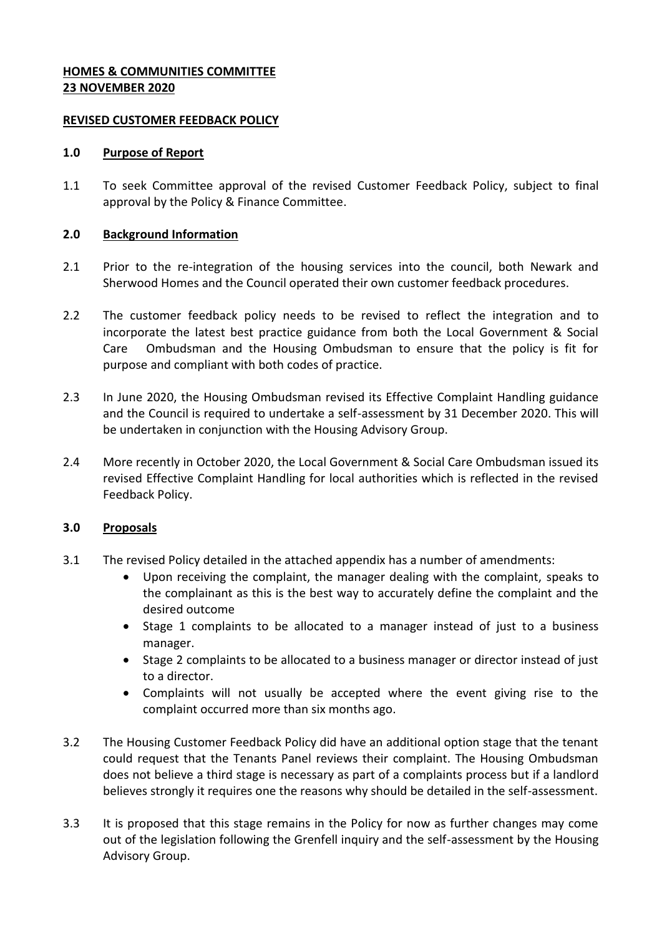## **HOMES & COMMUNITIES COMMITTEE 23 NOVEMBER 2020**

### **REVISED CUSTOMER FEEDBACK POLICY**

#### **1.0 Purpose of Report**

1.1 To seek Committee approval of the revised Customer Feedback Policy, subject to final approval by the Policy & Finance Committee.

### **2.0 Background Information**

- 2.1 Prior to the re-integration of the housing services into the council, both Newark and Sherwood Homes and the Council operated their own customer feedback procedures.
- 2.2 The customer feedback policy needs to be revised to reflect the integration and to incorporate the latest best practice guidance from both the Local Government & Social Care Ombudsman and the Housing Ombudsman to ensure that the policy is fit for purpose and compliant with both codes of practice.
- 2.3 In June 2020, the Housing Ombudsman revised its Effective Complaint Handling guidance and the Council is required to undertake a self-assessment by 31 December 2020. This will be undertaken in conjunction with the Housing Advisory Group.
- 2.4 More recently in October 2020, the Local Government & Social Care Ombudsman issued its revised Effective Complaint Handling for local authorities which is reflected in the revised Feedback Policy.

### **3.0 Proposals**

- 3.1 The revised Policy detailed in the attached appendix has a number of amendments:
	- Upon receiving the complaint, the manager dealing with the complaint, speaks to the complainant as this is the best way to accurately define the complaint and the desired outcome
	- Stage 1 complaints to be allocated to a manager instead of just to a business manager.
	- Stage 2 complaints to be allocated to a business manager or director instead of just to a director.
	- Complaints will not usually be accepted where the event giving rise to the complaint occurred more than six months ago.
- 3.2 The Housing Customer Feedback Policy did have an additional option stage that the tenant could request that the Tenants Panel reviews their complaint. The Housing Ombudsman does not believe a third stage is necessary as part of a complaints process but if a landlord believes strongly it requires one the reasons why should be detailed in the self-assessment.
- 3.3 It is proposed that this stage remains in the Policy for now as further changes may come out of the legislation following the Grenfell inquiry and the self-assessment by the Housing Advisory Group.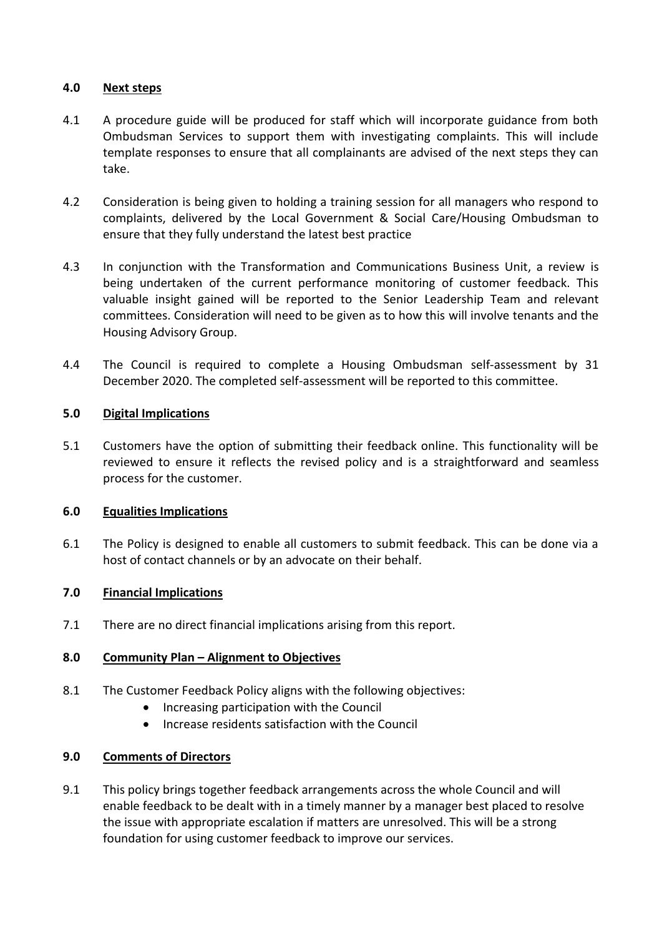# **4.0 Next steps**

- 4.1 A procedure guide will be produced for staff which will incorporate guidance from both Ombudsman Services to support them with investigating complaints. This will include template responses to ensure that all complainants are advised of the next steps they can take.
- 4.2 Consideration is being given to holding a training session for all managers who respond to complaints, delivered by the Local Government & Social Care/Housing Ombudsman to ensure that they fully understand the latest best practice
- 4.3 In conjunction with the Transformation and Communications Business Unit, a review is being undertaken of the current performance monitoring of customer feedback. This valuable insight gained will be reported to the Senior Leadership Team and relevant committees. Consideration will need to be given as to how this will involve tenants and the Housing Advisory Group.
- 4.4 The Council is required to complete a Housing Ombudsman self-assessment by 31 December 2020. The completed self-assessment will be reported to this committee.

# **5.0 Digital Implications**

5.1 Customers have the option of submitting their feedback online. This functionality will be reviewed to ensure it reflects the revised policy and is a straightforward and seamless process for the customer.

### **6.0 Equalities Implications**

6.1 The Policy is designed to enable all customers to submit feedback. This can be done via a host of contact channels or by an advocate on their behalf.

# **7.0 Financial Implications**

7.1 There are no direct financial implications arising from this report.

### **8.0 Community Plan – Alignment to Objectives**

- 8.1 The Customer Feedback Policy aligns with the following objectives:
	- Increasing participation with the Council
	- Increase residents satisfaction with the Council

### **9.0 Comments of Directors**

9.1 This policy brings together feedback arrangements across the whole Council and will enable feedback to be dealt with in a timely manner by a manager best placed to resolve the issue with appropriate escalation if matters are unresolved. This will be a strong foundation for using customer feedback to improve our services.